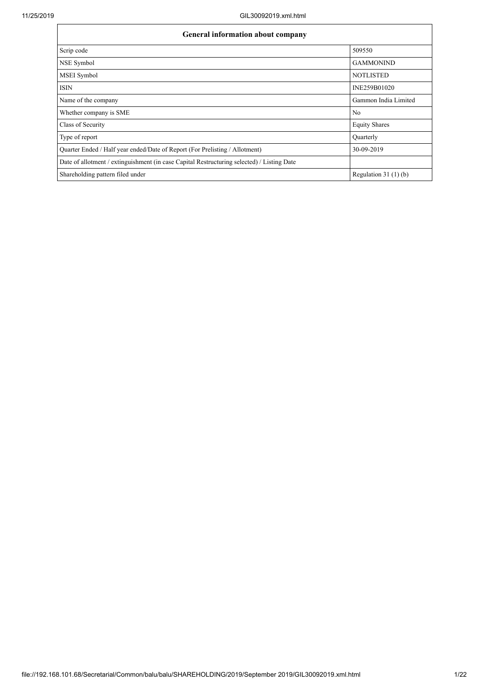| <b>General information about company</b>                                                   |                       |  |  |  |  |  |  |  |
|--------------------------------------------------------------------------------------------|-----------------------|--|--|--|--|--|--|--|
| Scrip code                                                                                 | 509550                |  |  |  |  |  |  |  |
| NSE Symbol                                                                                 | <b>GAMMONIND</b>      |  |  |  |  |  |  |  |
| MSEI Symbol                                                                                | <b>NOTLISTED</b>      |  |  |  |  |  |  |  |
| <b>ISIN</b>                                                                                | INE259B01020          |  |  |  |  |  |  |  |
| Name of the company                                                                        | Gammon India Limited  |  |  |  |  |  |  |  |
| Whether company is SME                                                                     | N <sub>0</sub>        |  |  |  |  |  |  |  |
| Class of Security                                                                          | <b>Equity Shares</b>  |  |  |  |  |  |  |  |
| Type of report                                                                             | Quarterly             |  |  |  |  |  |  |  |
| Quarter Ended / Half year ended/Date of Report (For Prelisting / Allotment)                | 30-09-2019            |  |  |  |  |  |  |  |
| Date of allotment / extinguishment (in case Capital Restructuring selected) / Listing Date |                       |  |  |  |  |  |  |  |
| Shareholding pattern filed under                                                           | Regulation $31(1)(b)$ |  |  |  |  |  |  |  |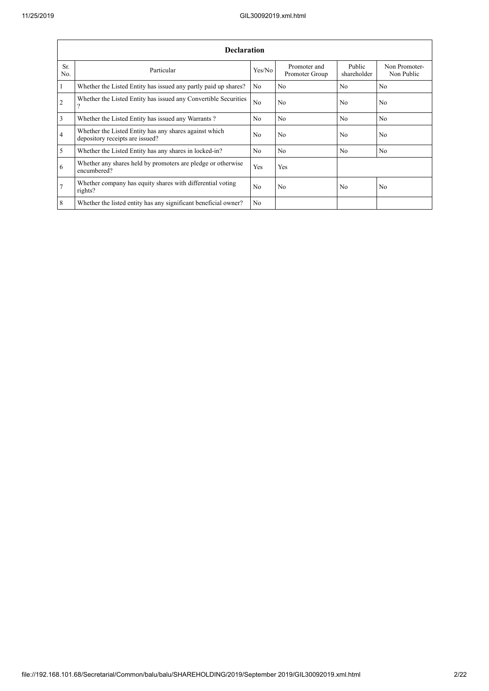$\mathbf{r}$ 

|                 | <b>Declaration</b>                                                                        |                |                                |                       |                             |  |  |  |  |  |
|-----------------|-------------------------------------------------------------------------------------------|----------------|--------------------------------|-----------------------|-----------------------------|--|--|--|--|--|
| Sr.<br>No.      | Particular                                                                                | Yes/No         | Promoter and<br>Promoter Group | Public<br>shareholder | Non Promoter-<br>Non Public |  |  |  |  |  |
| $\mathbf{1}$    | Whether the Listed Entity has issued any partly paid up shares?                           | N <sub>0</sub> | N <sub>0</sub>                 | N <sub>o</sub>        | N <sub>o</sub>              |  |  |  |  |  |
| $\overline{2}$  | Whether the Listed Entity has issued any Convertible Securities<br>Q,                     | No             | N <sub>0</sub>                 | N <sub>o</sub>        | N <sub>o</sub>              |  |  |  |  |  |
| $\overline{3}$  | Whether the Listed Entity has issued any Warrants?                                        | N <sub>o</sub> | N <sub>o</sub>                 | N <sub>o</sub>        | N <sub>o</sub>              |  |  |  |  |  |
| $\overline{4}$  | Whether the Listed Entity has any shares against which<br>depository receipts are issued? | N <sub>o</sub> | N <sub>0</sub>                 | N <sub>o</sub>        | No.                         |  |  |  |  |  |
| 5               | Whether the Listed Entity has any shares in locked-in?                                    | N <sub>0</sub> | N <sub>0</sub>                 | N <sub>o</sub>        | N <sub>o</sub>              |  |  |  |  |  |
| 6               | Whether any shares held by promoters are pledge or otherwise<br>encumbered?               | Yes            | Yes                            |                       |                             |  |  |  |  |  |
| $7\phantom{.0}$ | Whether company has equity shares with differential voting<br>rights?                     | N <sub>0</sub> | N <sub>0</sub>                 | N <sub>o</sub>        | N <sub>o</sub>              |  |  |  |  |  |
| 8               | Whether the listed entity has any significant beneficial owner?                           | N <sub>0</sub> |                                |                       |                             |  |  |  |  |  |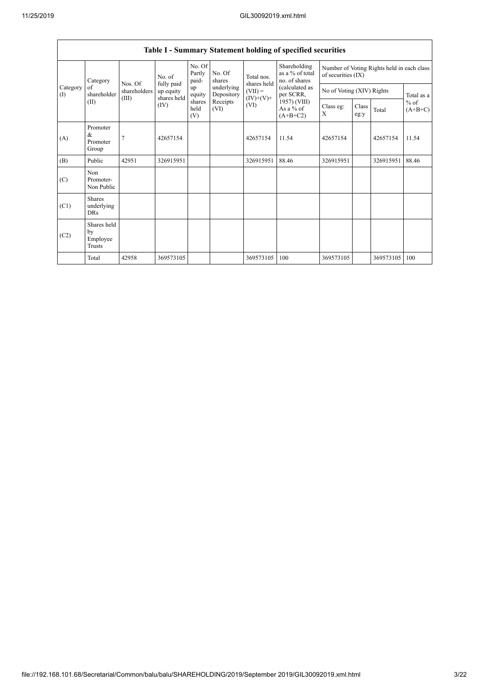|                          | Table I - Summary Statement holding of specified securities |                                  |                                        |                           |                          |                                         |                                                                                                                            |                                                                  |               |           |                     |  |
|--------------------------|-------------------------------------------------------------|----------------------------------|----------------------------------------|---------------------------|--------------------------|-----------------------------------------|----------------------------------------------------------------------------------------------------------------------------|------------------------------------------------------------------|---------------|-----------|---------------------|--|
|                          | Category                                                    |                                  | No. of                                 | No. Of<br>Partly<br>paid- | No. Of<br>shares         | Total nos.                              | Shareholding<br>as a % of total<br>no. of shares<br>(calculated as<br>per SCRR,<br>1957) (VIII)<br>As a % of<br>$(A+B+C2)$ | Number of Voting Rights held in each class<br>of securities (IX) |               |           |                     |  |
| Category<br>$($ $\Gamma$ | of<br>shareholder                                           | Nos. Of<br>shareholders<br>(III) | fully paid<br>up equity<br>shares held | up<br>equity              | underlying<br>Depository | shares held<br>$(VII) =$<br>$(IV)+(V)+$ |                                                                                                                            | No of Voting (XIV) Rights                                        |               |           | Total as a          |  |
|                          | (II)                                                        |                                  | (IV)                                   | shares<br>held<br>(V)     | Receipts<br>(VI)         | (VI)                                    |                                                                                                                            | Class eg:<br>X                                                   | Class<br>eg:y | Total     | $%$ of<br>$(A+B+C)$ |  |
| (A)                      | Promoter<br>&<br>Promoter<br>Group                          | $\overline{7}$                   | 42657154                               |                           |                          | 42657154                                | 11.54                                                                                                                      | 42657154                                                         |               | 42657154  | 11.54               |  |
| (B)                      | Public                                                      | 42951                            | 326915951                              |                           |                          | 326915951                               | 88.46                                                                                                                      | 326915951                                                        |               | 326915951 | 88.46               |  |
| (C)                      | Non<br>Promoter-<br>Non Public                              |                                  |                                        |                           |                          |                                         |                                                                                                                            |                                                                  |               |           |                     |  |
| (C1)                     | <b>Shares</b><br>underlying<br><b>DRs</b>                   |                                  |                                        |                           |                          |                                         |                                                                                                                            |                                                                  |               |           |                     |  |
| (C2)                     | Shares held<br>by<br>Employee<br>Trusts                     |                                  |                                        |                           |                          |                                         |                                                                                                                            |                                                                  |               |           |                     |  |
|                          | Total                                                       | 42958                            | 369573105                              |                           |                          | 369573105                               | 100                                                                                                                        | 369573105                                                        |               | 369573105 | 100                 |  |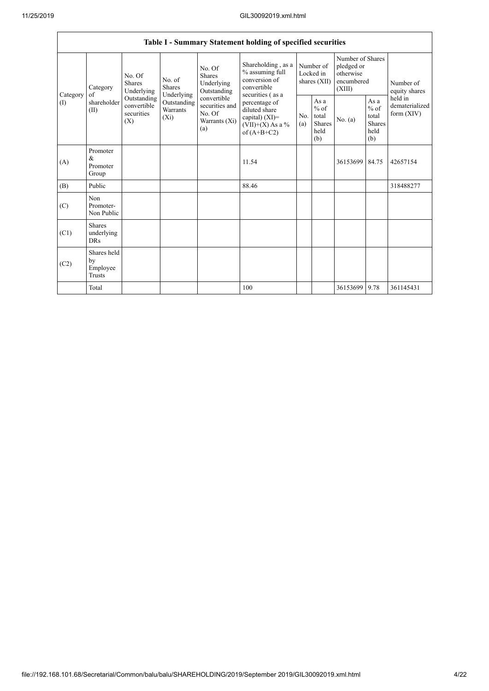$\mathbf{r}$ 

|                 |                                           |                                                 |                                                                      |                                                                                                                         | Table I - Summary Statement holding of specified securities                                |                                        |                                                  |                                                                     |                                                         |                                           |
|-----------------|-------------------------------------------|-------------------------------------------------|----------------------------------------------------------------------|-------------------------------------------------------------------------------------------------------------------------|--------------------------------------------------------------------------------------------|----------------------------------------|--------------------------------------------------|---------------------------------------------------------------------|---------------------------------------------------------|-------------------------------------------|
| Category<br>(1) | Category<br>of<br>shareholder<br>(II)     | No. Of<br><b>Shares</b><br>Underlying           | No. of<br>Shares<br>Underlying<br>Outstanding<br>Warrants<br>$(X_i)$ | No. Of<br><b>Shares</b><br>Underlying<br>Outstanding<br>convertible<br>securities and<br>No. Of<br>Warrants (Xi)<br>(a) | Shareholding, as a<br>% assuming full<br>conversion of<br>convertible<br>securities (as a  | Number of<br>Locked in<br>shares (XII) |                                                  | Number of Shares<br>pledged or<br>otherwise<br>encumbered<br>(XIII) |                                                         | Number of<br>equity shares                |
|                 |                                           | Outstanding<br>convertible<br>securities<br>(X) |                                                                      |                                                                                                                         | percentage of<br>diluted share<br>capital) $(XI)$ =<br>$(VII)+(X)$ As a %<br>of $(A+B+C2)$ | No.<br>(a)                             | As a<br>$%$ of<br>total<br>Shares<br>held<br>(b) | No. (a)                                                             | As a<br>$%$ of<br>total<br><b>Shares</b><br>held<br>(b) | held in<br>dematerialized<br>form $(XIV)$ |
| (A)             | Promoter<br>&<br>Promoter<br>Group        |                                                 |                                                                      |                                                                                                                         | 11.54                                                                                      |                                        |                                                  | 36153699                                                            | 84.75                                                   | 42657154                                  |
| (B)             | Public                                    |                                                 |                                                                      |                                                                                                                         | 88.46                                                                                      |                                        |                                                  |                                                                     |                                                         | 318488277                                 |
| (C)             | Non<br>Promoter-<br>Non Public            |                                                 |                                                                      |                                                                                                                         |                                                                                            |                                        |                                                  |                                                                     |                                                         |                                           |
| (C1)            | <b>Shares</b><br>underlying<br><b>DRs</b> |                                                 |                                                                      |                                                                                                                         |                                                                                            |                                        |                                                  |                                                                     |                                                         |                                           |
| (C2)            | Shares held<br>by<br>Employee<br>Trusts   |                                                 |                                                                      |                                                                                                                         |                                                                                            |                                        |                                                  |                                                                     |                                                         |                                           |
|                 | Total                                     |                                                 |                                                                      |                                                                                                                         | 100                                                                                        |                                        |                                                  | 36153699 9.78                                                       |                                                         | 361145431                                 |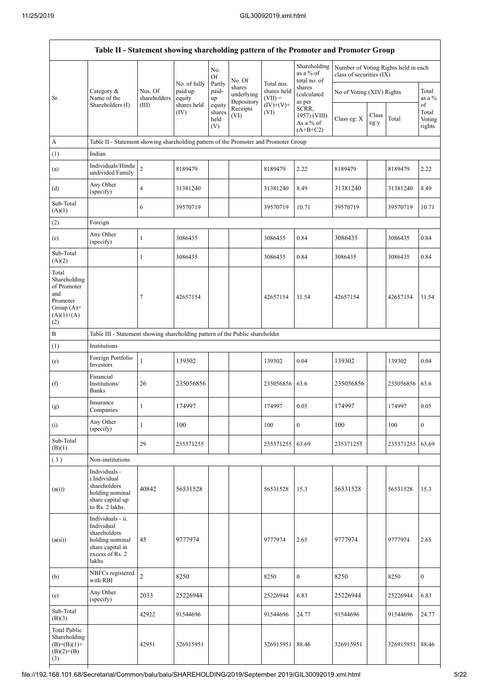| Table II - Statement showing shareholding pattern of the Promoter and Promoter Group           |                                                                                                                     |                                  |                                          |                                 |                                              |                                                 |                                                        |                                                                  |       |           |                                |
|------------------------------------------------------------------------------------------------|---------------------------------------------------------------------------------------------------------------------|----------------------------------|------------------------------------------|---------------------------------|----------------------------------------------|-------------------------------------------------|--------------------------------------------------------|------------------------------------------------------------------|-------|-----------|--------------------------------|
|                                                                                                |                                                                                                                     |                                  | No. of fully                             | No.<br><b>Of</b><br>Partly      | No. Of<br>shares                             | Total nos.                                      | Shareholding<br>as a $\%$ of<br>total no. of<br>shares | Number of Voting Rights held in each<br>class of securities (IX) |       |           |                                |
| Sr.                                                                                            | Category &<br>Name of the<br>Shareholders (I)                                                                       | Nos. Of<br>shareholders<br>(III) | paid up<br>equity<br>shares held<br>(IV) | paid-<br>up<br>equity<br>shares | underlying<br>Depository<br>Receipts<br>(VI) | shares held<br>$(VII) =$<br>$(IV)+(V)+$<br>(VI) | (calculated<br>as per<br>SCRR,<br>1957) (VIII)         | No of Voting (XIV) Rights                                        | Class |           | Total<br>as a %<br>of<br>Total |
|                                                                                                |                                                                                                                     |                                  |                                          | held<br>(V)                     |                                              |                                                 | As a % of<br>$(A+B+C2)$                                | Class eg: X                                                      | eg:y  | Total     | Voting<br>rights               |
| A                                                                                              | Table II - Statement showing shareholding pattern of the Promoter and Promoter Group                                |                                  |                                          |                                 |                                              |                                                 |                                                        |                                                                  |       |           |                                |
| (1)                                                                                            | Indian                                                                                                              |                                  |                                          |                                 |                                              |                                                 |                                                        |                                                                  |       |           |                                |
| (a)                                                                                            | Individuals/Hindu<br>undivided Family                                                                               | $\overline{c}$                   | 8189479                                  |                                 |                                              | 8189479                                         | 2.22                                                   | 8189479                                                          |       | 8189479   | 2.22                           |
| (d)                                                                                            | Any Other<br>(specify)                                                                                              | $\overline{\mathbf{4}}$          | 31381240                                 |                                 |                                              | 31381240                                        | 8.49                                                   | 31381240                                                         |       | 31381240  | 8.49                           |
| Sub-Total<br>(A)(1)                                                                            |                                                                                                                     | 6                                | 39570719                                 |                                 |                                              | 39570719                                        | 10.71                                                  | 39570719                                                         |       | 39570719  | 10.71                          |
| (2)                                                                                            | Foreign                                                                                                             |                                  |                                          |                                 |                                              |                                                 |                                                        |                                                                  |       |           |                                |
| (e)                                                                                            | Any Other<br>(specify)                                                                                              | $\mathbf{1}$                     | 3086435                                  |                                 |                                              | 3086435                                         | 0.84                                                   | 3086435                                                          |       | 3086435   | 0.84                           |
| Sub-Total<br>(A)(2)                                                                            |                                                                                                                     | 1                                | 3086435                                  |                                 |                                              | 3086435                                         | 0.84                                                   | 3086435                                                          |       | 3086435   | 0.84                           |
| Total<br>Shareholding<br>of Promoter<br>and<br>Promoter<br>Group $(A)=$<br>$(A)(1)+(A)$<br>(2) |                                                                                                                     | $\tau$                           | 42657154                                 |                                 |                                              | 42657154                                        | 11.54                                                  | 42657154                                                         |       | 42657154  | 11.54                          |
| $\, {\bf B}$                                                                                   | Table III - Statement showing shareholding pattern of the Public shareholder                                        |                                  |                                          |                                 |                                              |                                                 |                                                        |                                                                  |       |           |                                |
| (1)                                                                                            | Institutions                                                                                                        |                                  |                                          |                                 |                                              |                                                 |                                                        |                                                                  |       |           |                                |
| (e)                                                                                            | Foreign Portfolio<br>Investors                                                                                      | $\mathbf{1}$                     | 139302                                   |                                 |                                              | 139302                                          | 0.04                                                   | 139302                                                           |       | 139302    | 0.04                           |
| (f)                                                                                            | Financial<br>Institutions/<br><b>Banks</b>                                                                          | 26                               | 235056856                                |                                 |                                              | 235056856                                       | 63.6                                                   | 235056856                                                        |       | 235056856 | 63.6                           |
| (g)                                                                                            | Insurance<br>Companies                                                                                              | $\,1$                            | 174997                                   |                                 |                                              | 174997                                          | 0.05                                                   | 174997                                                           |       | 174997    | 0.05                           |
| (i)                                                                                            | Any Other<br>(specify)                                                                                              | $\mathbf{1}$                     | 100                                      |                                 |                                              | 100                                             | $\boldsymbol{0}$                                       | 100                                                              |       | 100       | $\overline{0}$                 |
| Sub-Total<br>(B)(1)                                                                            |                                                                                                                     | 29                               | 235371255                                |                                 |                                              | 235371255                                       | 63.69                                                  | 235371255                                                        |       | 235371255 | 63.69                          |
| (3)                                                                                            | Non-institutions                                                                                                    |                                  |                                          |                                 |                                              |                                                 |                                                        |                                                                  |       |           |                                |
| (a(i))                                                                                         | Individuals -<br>i.Individual<br>shareholders<br>holding nominal<br>share capital up<br>to Rs. 2 lakhs.             | 40842                            | 56531528                                 |                                 |                                              | 56531528                                        | 15.3                                                   | 56531528                                                         |       | 56531528  | 15.3                           |
| (a(ii))                                                                                        | Individuals - ii.<br>Individual<br>shareholders<br>holding nominal<br>share capital in<br>excess of Rs. 2<br>lakhs. | 45                               | 9777974                                  |                                 |                                              | 9777974                                         | 2.65                                                   | 9777974                                                          |       | 9777974   | 2.65                           |
| (b)                                                                                            | NBFCs registered<br>with RBI                                                                                        | $\overline{2}$                   | 8250                                     |                                 |                                              | 8250                                            | $\boldsymbol{0}$                                       | 8250                                                             |       | 8250      | $\overline{0}$                 |
| (e)                                                                                            | Any Other<br>(specify)                                                                                              | 2033                             | 25226944                                 |                                 |                                              | 25226944                                        | 6.83                                                   | 25226944                                                         |       | 25226944  | 6.83                           |
| Sub-Total<br>(B)(3)                                                                            |                                                                                                                     | 42922                            | 91544696                                 |                                 |                                              | 91544696                                        | 24.77                                                  | 91544696                                                         |       | 91544696  | 24.77                          |
| <b>Total Public</b><br>Shareholding<br>$(B)=(B)(1)+$<br>$(B)(2)+(B)$<br>(3)                    |                                                                                                                     | 42951                            | 326915951                                |                                 |                                              | 326915951                                       | 88.46                                                  | 326915951                                                        |       | 326915951 | 88.46                          |
|                                                                                                |                                                                                                                     |                                  |                                          |                                 |                                              |                                                 |                                                        |                                                                  |       |           |                                |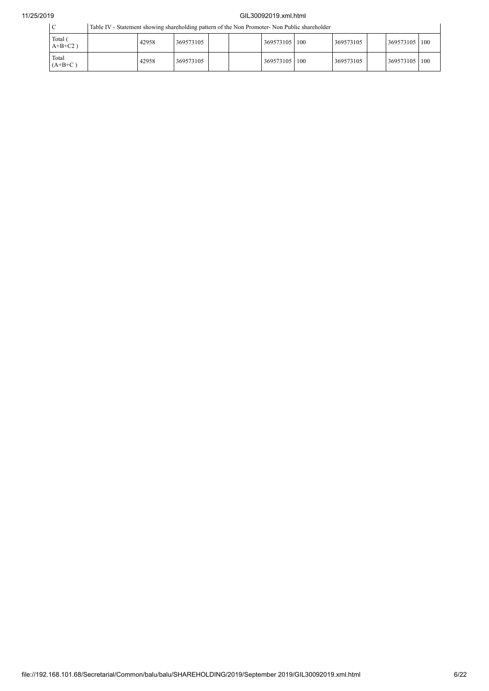## 11/25/2019 GIL30092019.xml.html

|   | Table IV - Statement showing shareholding pattern of the Non Promoter- Non Public shareholder |  |  |  |  |
|---|-----------------------------------------------------------------------------------------------|--|--|--|--|
| m |                                                                                               |  |  |  |  |

| Total (<br>$A+B+C2$ ) | 42958 | 369573105 |  | 369573105   100 | 369573105 | 369573105 | 100 |
|-----------------------|-------|-----------|--|-----------------|-----------|-----------|-----|
| Total<br>$(A+B+C)$    | 42958 | 369573105 |  | 369573105   100 | 369573105 | 369573105 | 100 |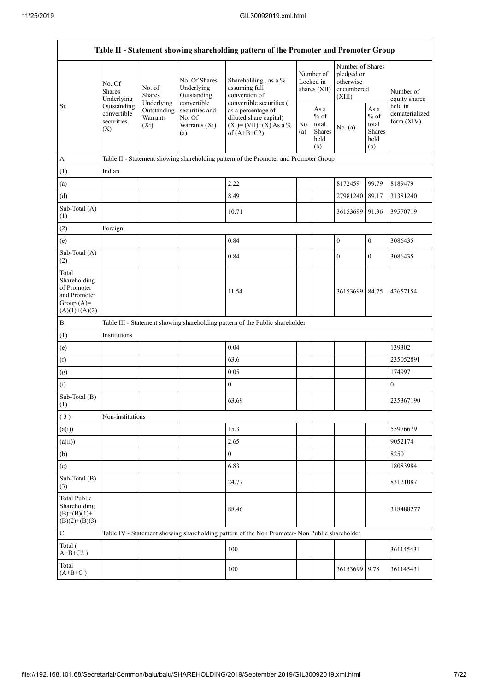|                                                                                         |                                                 |                                       |                                                           | Table II - Statement showing shareholding pattern of the Promoter and Promoter Group          |                                          |                                                  |                                                                     |                                                  |                                       |  |
|-----------------------------------------------------------------------------------------|-------------------------------------------------|---------------------------------------|-----------------------------------------------------------|-----------------------------------------------------------------------------------------------|------------------------------------------|--------------------------------------------------|---------------------------------------------------------------------|--------------------------------------------------|---------------------------------------|--|
|                                                                                         | No. Of<br><b>Shares</b><br>Underlying           | No. of<br><b>Shares</b><br>Underlying | No. Of Shares<br>Underlying<br>Outstanding<br>convertible | Shareholding, as a %<br>assuming full<br>conversion of<br>convertible securities (            | Number of<br>Locked in<br>shares $(XII)$ |                                                  | Number of Shares<br>pledged or<br>otherwise<br>encumbered<br>(XIII) |                                                  | Number of<br>equity shares<br>held in |  |
| Sr.                                                                                     | Outstanding<br>convertible<br>securities<br>(X) | Outstanding<br>Warrants<br>$(X_i)$    | securities and<br>No. Of<br>Warrants (Xi)<br>(a)          | as a percentage of<br>diluted share capital)<br>$(XI) = (VII)+(X) As a %$<br>of $(A+B+C2)$    | No.<br>(a)                               | As a<br>$%$ of<br>total<br>Shares<br>held<br>(b) | No. (a)                                                             | As a<br>$%$ of<br>total<br>Shares<br>held<br>(b) | dematerialized<br>form $(XIV)$        |  |
| A                                                                                       |                                                 |                                       |                                                           | Table II - Statement showing shareholding pattern of the Promoter and Promoter Group          |                                          |                                                  |                                                                     |                                                  |                                       |  |
| (1)                                                                                     | Indian                                          |                                       |                                                           |                                                                                               |                                          |                                                  |                                                                     |                                                  |                                       |  |
| (a)                                                                                     |                                                 |                                       |                                                           | 2.22                                                                                          |                                          |                                                  | 8172459                                                             | 99.79                                            | 8189479                               |  |
| (d)                                                                                     |                                                 |                                       |                                                           | 8.49                                                                                          |                                          |                                                  | 27981240                                                            | 89.17                                            | 31381240                              |  |
| Sub-Total (A)<br>(1)                                                                    |                                                 |                                       |                                                           | 10.71                                                                                         |                                          |                                                  | 36153699 91.36                                                      |                                                  | 39570719                              |  |
| (2)                                                                                     | Foreign                                         |                                       |                                                           |                                                                                               |                                          |                                                  |                                                                     |                                                  |                                       |  |
| (e)                                                                                     |                                                 |                                       |                                                           | 0.84                                                                                          |                                          |                                                  | $\boldsymbol{0}$                                                    | $\boldsymbol{0}$                                 | 3086435                               |  |
| Sub-Total (A)<br>(2)                                                                    |                                                 |                                       |                                                           | 0.84                                                                                          |                                          |                                                  | $\boldsymbol{0}$                                                    | $\mathbf{0}$                                     | 3086435                               |  |
| Total<br>Shareholding<br>of Promoter<br>and Promoter<br>Group $(A)=$<br>$(A)(1)+(A)(2)$ |                                                 |                                       |                                                           | 11.54                                                                                         |                                          |                                                  | 36153699 84.75                                                      |                                                  | 42657154                              |  |
| $\, {\bf B}$                                                                            |                                                 |                                       |                                                           | Table III - Statement showing shareholding pattern of the Public shareholder                  |                                          |                                                  |                                                                     |                                                  |                                       |  |
| (1)                                                                                     | Institutions                                    |                                       |                                                           |                                                                                               |                                          |                                                  |                                                                     |                                                  |                                       |  |
| (e)                                                                                     |                                                 |                                       |                                                           | 0.04                                                                                          |                                          |                                                  |                                                                     |                                                  | 139302                                |  |
| (f)                                                                                     |                                                 |                                       |                                                           | 63.6                                                                                          |                                          |                                                  |                                                                     |                                                  | 235052891                             |  |
| (g)                                                                                     |                                                 |                                       |                                                           | 0.05                                                                                          |                                          |                                                  |                                                                     |                                                  | 174997                                |  |
| (i)                                                                                     |                                                 |                                       |                                                           | $\boldsymbol{0}$                                                                              |                                          |                                                  |                                                                     |                                                  | $\boldsymbol{0}$                      |  |
| Sub-Total (B)<br>(1)                                                                    |                                                 |                                       |                                                           | 63.69                                                                                         |                                          |                                                  |                                                                     |                                                  | 235367190                             |  |
| (3)                                                                                     | Non-institutions                                |                                       |                                                           |                                                                                               |                                          |                                                  |                                                                     |                                                  |                                       |  |
| (a(i))                                                                                  |                                                 |                                       |                                                           | 15.3                                                                                          |                                          |                                                  |                                                                     |                                                  | 55976679                              |  |
| (a(ii))                                                                                 |                                                 |                                       |                                                           | 2.65                                                                                          |                                          |                                                  |                                                                     |                                                  | 9052174                               |  |
| (b)                                                                                     |                                                 |                                       |                                                           | $\boldsymbol{0}$                                                                              |                                          |                                                  |                                                                     |                                                  | 8250                                  |  |
| (e)                                                                                     |                                                 |                                       |                                                           | 6.83                                                                                          |                                          |                                                  |                                                                     |                                                  | 18083984                              |  |
| Sub-Total (B)<br>(3)                                                                    |                                                 |                                       |                                                           | 24.77                                                                                         |                                          |                                                  |                                                                     |                                                  | 83121087                              |  |
| <b>Total Public</b><br>Shareholding<br>$(B)= (B)(1) +$<br>$(B)(2)+(B)(3)$               |                                                 |                                       |                                                           | 88.46                                                                                         |                                          |                                                  |                                                                     |                                                  | 318488277                             |  |
| $\mathbf C$                                                                             |                                                 |                                       |                                                           | Table IV - Statement showing shareholding pattern of the Non Promoter- Non Public shareholder |                                          |                                                  |                                                                     |                                                  |                                       |  |
| Total (<br>$A+B+C2$ )                                                                   |                                                 |                                       |                                                           | 100                                                                                           |                                          |                                                  |                                                                     |                                                  | 361145431                             |  |
| Total<br>$(A+B+C)$                                                                      |                                                 |                                       |                                                           | 100                                                                                           |                                          |                                                  | 36153699                                                            | 9.78                                             | 361145431                             |  |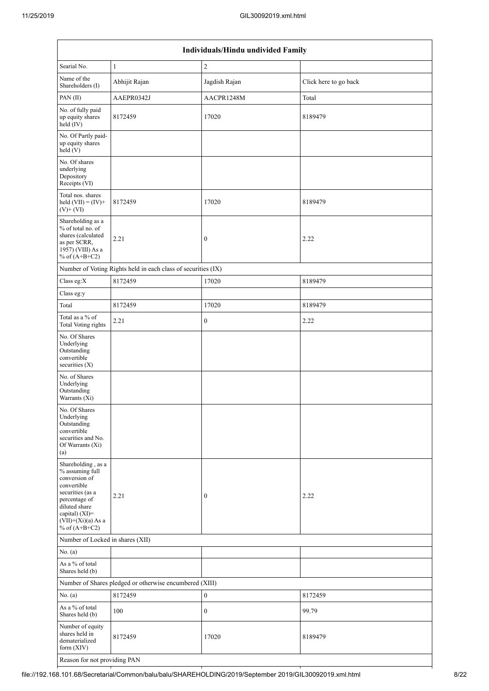|                                                                                                                                                                                          | Individuals/Hindu undivided Family                            |                  |                       |  |  |  |  |  |  |  |
|------------------------------------------------------------------------------------------------------------------------------------------------------------------------------------------|---------------------------------------------------------------|------------------|-----------------------|--|--|--|--|--|--|--|
| Searial No.                                                                                                                                                                              | $\mathbf{1}$                                                  | $\sqrt{2}$       |                       |  |  |  |  |  |  |  |
| Name of the<br>Shareholders (I)                                                                                                                                                          | Abhijit Rajan                                                 | Jagdish Rajan    | Click here to go back |  |  |  |  |  |  |  |
| PAN (II)                                                                                                                                                                                 | AAEPR0342J                                                    | AACPR1248M       | Total                 |  |  |  |  |  |  |  |
| No. of fully paid<br>up equity shares<br>$\text{held} (IV)$                                                                                                                              | 8172459                                                       | 17020            | 8189479               |  |  |  |  |  |  |  |
| No. Of Partly paid-<br>up equity shares<br>held (V)                                                                                                                                      |                                                               |                  |                       |  |  |  |  |  |  |  |
| No. Of shares<br>underlying<br>Depository<br>Receipts (VI)                                                                                                                               |                                                               |                  |                       |  |  |  |  |  |  |  |
| Total nos. shares<br>held $(VII) = (IV) +$<br>$(V)$ + $(VI)$                                                                                                                             | 8172459                                                       | 17020            | 8189479               |  |  |  |  |  |  |  |
| Shareholding as a<br>% of total no. of<br>shares (calculated<br>as per SCRR,<br>1957) (VIII) As a<br>% of $(A+B+C2)$                                                                     | 2.21                                                          | $\boldsymbol{0}$ | 2.22                  |  |  |  |  |  |  |  |
|                                                                                                                                                                                          | Number of Voting Rights held in each class of securities (IX) |                  |                       |  |  |  |  |  |  |  |
| Class eg:X                                                                                                                                                                               | 8172459                                                       | 17020            | 8189479               |  |  |  |  |  |  |  |
| Class eg:y                                                                                                                                                                               |                                                               |                  |                       |  |  |  |  |  |  |  |
| Total                                                                                                                                                                                    | 8172459                                                       | 17020            | 8189479               |  |  |  |  |  |  |  |
| Total as a % of<br><b>Total Voting rights</b>                                                                                                                                            | 2.21                                                          | $\boldsymbol{0}$ | 2.22                  |  |  |  |  |  |  |  |
| No. Of Shares<br>Underlying<br>Outstanding<br>convertible<br>securities (X)                                                                                                              |                                                               |                  |                       |  |  |  |  |  |  |  |
| No. of Shares<br>Underlying<br>Outstanding<br>Warrants (Xi)                                                                                                                              |                                                               |                  |                       |  |  |  |  |  |  |  |
| No. Of Shares<br>Underlying<br>Outstanding<br>convertible<br>securities and No.<br>Of Warrants (Xi)<br>(a)                                                                               |                                                               |                  |                       |  |  |  |  |  |  |  |
| Shareholding, as a<br>% assuming full<br>conversion of<br>convertible<br>securities (as a<br>percentage of<br>diluted share<br>capital) (XI)=<br>$(VII)+(Xi)(a)$ As a<br>% of $(A+B+C2)$ | 2.21                                                          | $\boldsymbol{0}$ | 2.22                  |  |  |  |  |  |  |  |
| Number of Locked in shares (XII)                                                                                                                                                         |                                                               |                  |                       |  |  |  |  |  |  |  |
| No. (a)                                                                                                                                                                                  |                                                               |                  |                       |  |  |  |  |  |  |  |
| As a % of total<br>Shares held (b)                                                                                                                                                       |                                                               |                  |                       |  |  |  |  |  |  |  |
|                                                                                                                                                                                          | Number of Shares pledged or otherwise encumbered (XIII)       |                  |                       |  |  |  |  |  |  |  |
| No. (a)                                                                                                                                                                                  | 8172459                                                       | $\boldsymbol{0}$ | 8172459               |  |  |  |  |  |  |  |
| As a % of total<br>Shares held (b)                                                                                                                                                       | 100                                                           | $\boldsymbol{0}$ | 99.79                 |  |  |  |  |  |  |  |
| Number of equity<br>shares held in<br>dematerialized<br>form (XIV)                                                                                                                       | 8172459                                                       | 17020            | 8189479               |  |  |  |  |  |  |  |
| Reason for not providing PAN                                                                                                                                                             |                                                               |                  |                       |  |  |  |  |  |  |  |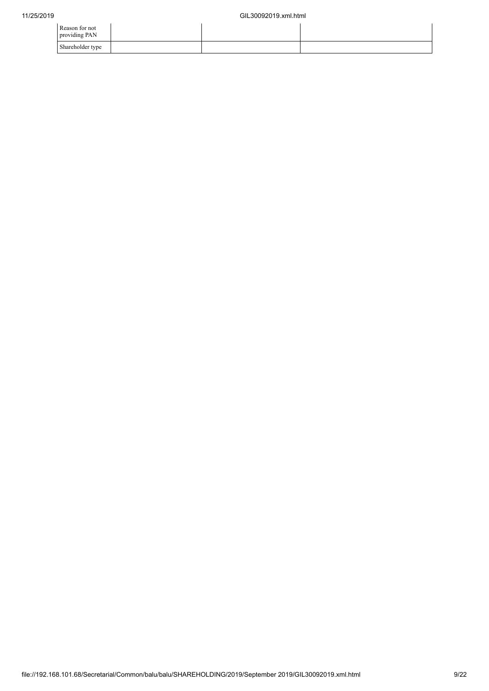| Reason for not<br>providing PAN |  |  |
|---------------------------------|--|--|
| Shareholder type                |  |  |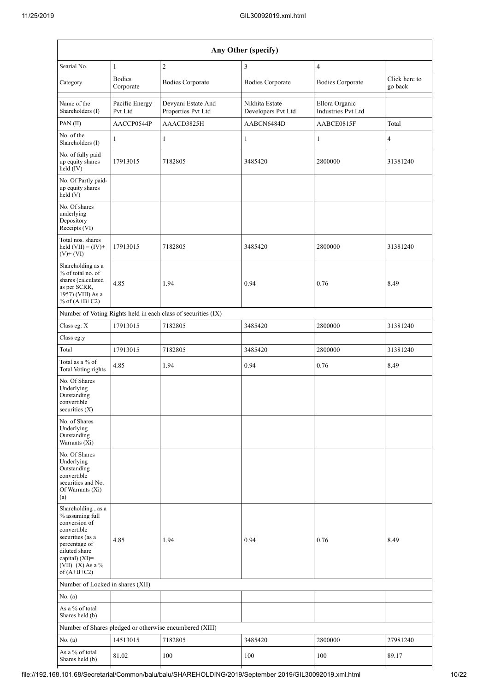| Any Other (specify)                                                                                                                                                                  |                            |                                                               |                                      |                                             |                          |  |  |  |  |  |
|--------------------------------------------------------------------------------------------------------------------------------------------------------------------------------------|----------------------------|---------------------------------------------------------------|--------------------------------------|---------------------------------------------|--------------------------|--|--|--|--|--|
| Searial No.                                                                                                                                                                          | $\mathbf{1}$               | $\overline{2}$                                                | 3                                    | 4                                           |                          |  |  |  |  |  |
| Category                                                                                                                                                                             | <b>Bodies</b><br>Corporate | <b>Bodies Corporate</b>                                       | <b>Bodies Corporate</b>              | <b>Bodies Corporate</b>                     | Click here to<br>go back |  |  |  |  |  |
| Name of the<br>Shareholders (I)                                                                                                                                                      | Pacific Energy<br>Pvt Ltd  | Devyani Estate And<br>Properties Pvt Ltd                      | Nikhita Estate<br>Developers Pvt Ltd | Ellora Organic<br><b>Industries Pvt Ltd</b> |                          |  |  |  |  |  |
| PAN(II)                                                                                                                                                                              | AACCP0544P                 | AAACD3825H                                                    | AABCN6484D                           | AABCE0815F                                  | Total                    |  |  |  |  |  |
| No. of the<br>Shareholders (I)                                                                                                                                                       | 1                          | 1                                                             | 1                                    | 1                                           | 4                        |  |  |  |  |  |
| No. of fully paid<br>up equity shares<br>held (IV)                                                                                                                                   | 17913015                   | 7182805                                                       | 3485420                              | 2800000                                     | 31381240                 |  |  |  |  |  |
| No. Of Partly paid-<br>up equity shares<br>held (V)                                                                                                                                  |                            |                                                               |                                      |                                             |                          |  |  |  |  |  |
| No. Of shares<br>underlying<br>Depository<br>Receipts (VI)                                                                                                                           |                            |                                                               |                                      |                                             |                          |  |  |  |  |  |
| Total nos. shares<br>held $(VII) = (IV) +$<br>$(V)$ + $(VI)$                                                                                                                         | 17913015                   | 7182805                                                       | 3485420                              | 2800000                                     | 31381240                 |  |  |  |  |  |
| Shareholding as a<br>% of total no. of<br>shares (calculated<br>as per SCRR,<br>1957) (VIII) As a<br>% of $(A+B+C2)$                                                                 | 4.85                       | 1.94                                                          | 0.94                                 | 0.76                                        | 8.49                     |  |  |  |  |  |
|                                                                                                                                                                                      |                            | Number of Voting Rights held in each class of securities (IX) |                                      |                                             |                          |  |  |  |  |  |
| Class eg: X                                                                                                                                                                          | 17913015                   | 7182805                                                       | 3485420                              | 2800000                                     | 31381240                 |  |  |  |  |  |
| Class eg:y                                                                                                                                                                           |                            |                                                               |                                      |                                             |                          |  |  |  |  |  |
| Total                                                                                                                                                                                | 17913015                   | 7182805                                                       | 3485420                              | 2800000                                     | 31381240                 |  |  |  |  |  |
| Total as a % of<br><b>Total Voting rights</b>                                                                                                                                        | 4.85                       | 1.94                                                          | 0.94                                 | 0.76                                        | 8.49                     |  |  |  |  |  |
| No. Of Shares<br>Underlying<br>Outstanding<br>convertible<br>securities (X)                                                                                                          |                            |                                                               |                                      |                                             |                          |  |  |  |  |  |
| No. of Shares<br>Underlying<br>Outstanding<br>Warrants (Xi)                                                                                                                          |                            |                                                               |                                      |                                             |                          |  |  |  |  |  |
| No. Of Shares<br>Underlying<br>Outstanding<br>convertible<br>securities and No.<br>Of Warrants (Xi)<br>(a)                                                                           |                            |                                                               |                                      |                                             |                          |  |  |  |  |  |
| Shareholding, as a<br>% assuming full<br>conversion of<br>convertible<br>securities (as a<br>percentage of<br>diluted share<br>capital) (XI)=<br>$(VII)+(X)$ As a %<br>of $(A+B+C2)$ | 4.85                       | 1.94                                                          | 0.94                                 | 0.76                                        | 8.49                     |  |  |  |  |  |
| Number of Locked in shares (XII)                                                                                                                                                     |                            |                                                               |                                      |                                             |                          |  |  |  |  |  |
| No. (a)                                                                                                                                                                              |                            |                                                               |                                      |                                             |                          |  |  |  |  |  |
| As a % of total<br>Shares held (b)                                                                                                                                                   |                            |                                                               |                                      |                                             |                          |  |  |  |  |  |
|                                                                                                                                                                                      |                            | Number of Shares pledged or otherwise encumbered (XIII)       |                                      |                                             |                          |  |  |  |  |  |
| No. (a)                                                                                                                                                                              | 14513015                   | 7182805                                                       | 3485420                              | 2800000                                     | 27981240                 |  |  |  |  |  |
| As a % of total<br>Shares held (b)                                                                                                                                                   | 81.02                      | 100                                                           | 100                                  | 100                                         | 89.17                    |  |  |  |  |  |

- H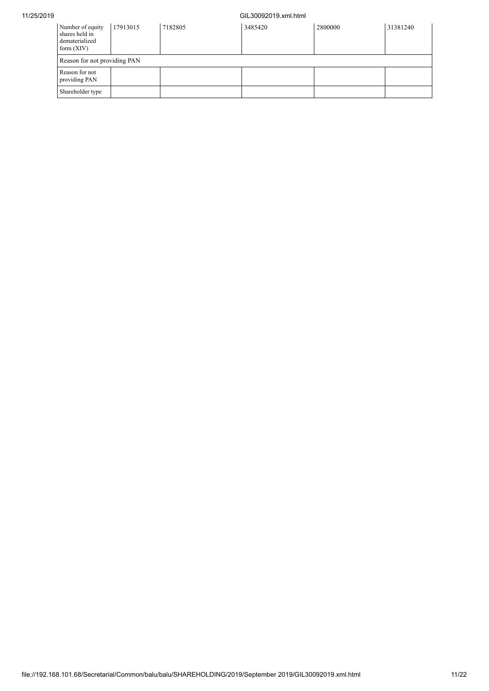## 11/25/2019 GIL30092019.xml.html

| Number of equity<br>shares held in<br>dematerialized<br>form $(XIV)$ | 17913015                     | 7182805 | 3485420 | 2800000 | 31381240 |  |  |  |  |  |  |
|----------------------------------------------------------------------|------------------------------|---------|---------|---------|----------|--|--|--|--|--|--|
|                                                                      | Reason for not providing PAN |         |         |         |          |  |  |  |  |  |  |
| Reason for not<br>providing PAN                                      |                              |         |         |         |          |  |  |  |  |  |  |
| Shareholder type                                                     |                              |         |         |         |          |  |  |  |  |  |  |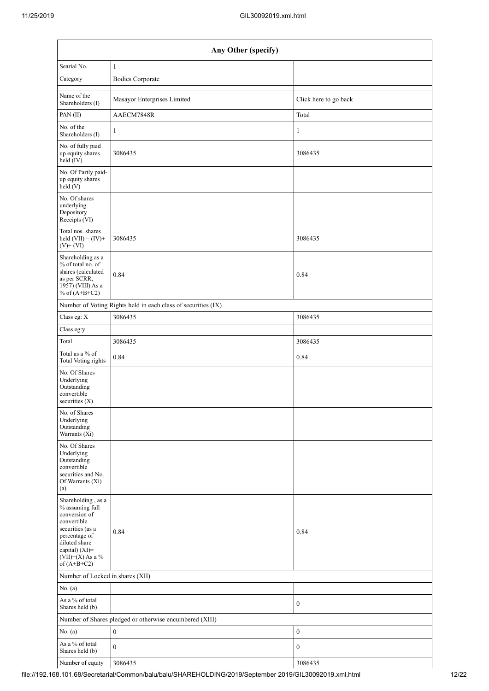| Any Other (specify)                                                                                                                                                                  |                                                               |                       |  |  |  |  |
|--------------------------------------------------------------------------------------------------------------------------------------------------------------------------------------|---------------------------------------------------------------|-----------------------|--|--|--|--|
| Searial No.                                                                                                                                                                          | $\mathbf{1}$                                                  |                       |  |  |  |  |
| Category                                                                                                                                                                             | <b>Bodies Corporate</b>                                       |                       |  |  |  |  |
| Name of the<br>Shareholders (I)                                                                                                                                                      | Masayor Enterprises Limited                                   | Click here to go back |  |  |  |  |
| PAN (II)                                                                                                                                                                             | AAECM7848R                                                    | Total                 |  |  |  |  |
| No. of the<br>Shareholders (I)                                                                                                                                                       | $\mathbf{1}$                                                  | $\mathbf{1}$          |  |  |  |  |
| No. of fully paid<br>up equity shares<br>held (IV)                                                                                                                                   | 3086435                                                       | 3086435               |  |  |  |  |
| No. Of Partly paid-<br>up equity shares<br>held (V)                                                                                                                                  |                                                               |                       |  |  |  |  |
| No. Of shares<br>underlying<br>Depository<br>Receipts (VI)                                                                                                                           |                                                               |                       |  |  |  |  |
| Total nos. shares<br>held $(VII) = (IV) +$<br>$(V)$ + $(VI)$                                                                                                                         | 3086435                                                       | 3086435               |  |  |  |  |
| Shareholding as a<br>% of total no. of<br>shares (calculated<br>as per SCRR,<br>1957) (VIII) As a<br>% of $(A+B+C2)$                                                                 | 0.84                                                          | 0.84                  |  |  |  |  |
|                                                                                                                                                                                      | Number of Voting Rights held in each class of securities (IX) |                       |  |  |  |  |
| Class eg: X                                                                                                                                                                          | 3086435                                                       | 3086435               |  |  |  |  |
| Class eg:y                                                                                                                                                                           |                                                               |                       |  |  |  |  |
| Total                                                                                                                                                                                | 3086435                                                       | 3086435               |  |  |  |  |
| Total as a % of<br><b>Total Voting rights</b>                                                                                                                                        | 0.84                                                          | 0.84                  |  |  |  |  |
| No. Of Shares<br>Underlying<br>Outstanding<br>convertible<br>securities $(X)$                                                                                                        |                                                               |                       |  |  |  |  |
| No. of Shares<br>Underlying<br>Outstanding<br>Warrants (Xi)                                                                                                                          |                                                               |                       |  |  |  |  |
| No. Of Shares<br>Underlying<br>Outstanding<br>convertible<br>securities and No.<br>Of Warrants (Xi)<br>(a)                                                                           |                                                               |                       |  |  |  |  |
| Shareholding, as a<br>% assuming full<br>conversion of<br>convertible<br>securities (as a<br>percentage of<br>diluted share<br>capital) (XI)=<br>$(VII)+(X)$ As a %<br>of $(A+B+C2)$ | 0.84                                                          | 0.84                  |  |  |  |  |
| Number of Locked in shares (XII)                                                                                                                                                     |                                                               |                       |  |  |  |  |
| No. (a)                                                                                                                                                                              |                                                               |                       |  |  |  |  |
| As a % of total<br>Shares held (b)                                                                                                                                                   |                                                               | $\boldsymbol{0}$      |  |  |  |  |
|                                                                                                                                                                                      | Number of Shares pledged or otherwise encumbered (XIII)       |                       |  |  |  |  |
| No. (a)                                                                                                                                                                              | $\boldsymbol{0}$                                              | $\boldsymbol{0}$      |  |  |  |  |
| As a % of total<br>Shares held (b)                                                                                                                                                   | $\overline{0}$                                                | $\boldsymbol{0}$      |  |  |  |  |
| Number of equity                                                                                                                                                                     | 3086435                                                       | 3086435               |  |  |  |  |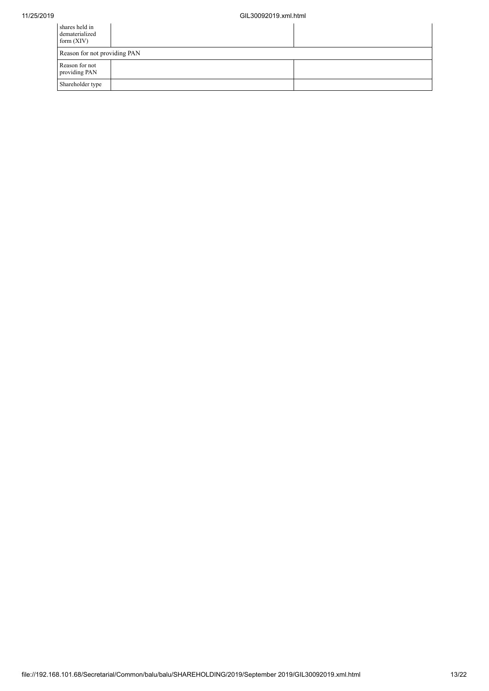| shares held in<br>dematerialized<br>form $(XIV)$ |  |
|--------------------------------------------------|--|
| Reason for not providing PAN                     |  |
| Reason for not<br>providing PAN                  |  |
| Shareholder type                                 |  |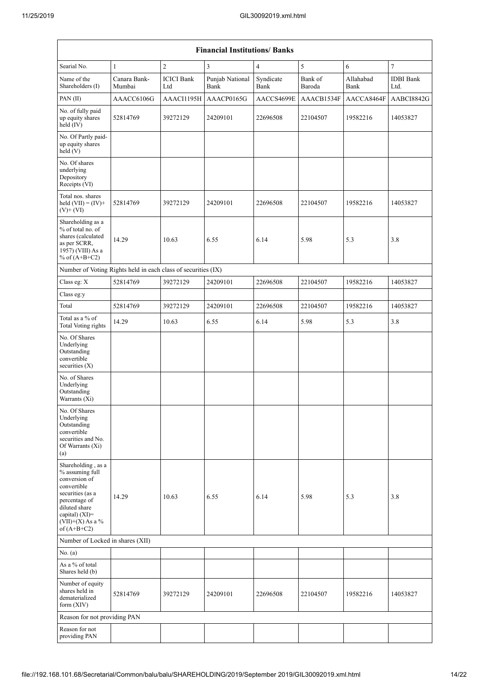| <b>Financial Institutions/Banks</b>                                                                                                                                                  |                        |                          |                         |                   |                   |                   |                          |
|--------------------------------------------------------------------------------------------------------------------------------------------------------------------------------------|------------------------|--------------------------|-------------------------|-------------------|-------------------|-------------------|--------------------------|
| Searial No.                                                                                                                                                                          | $\mathbf{1}$           | $\overline{2}$           | $\overline{3}$          | 4                 | 5                 | 6                 | $\tau$                   |
| Name of the<br>Shareholders (I)                                                                                                                                                      | Canara Bank-<br>Mumbai | <b>ICICI Bank</b><br>Ltd | Punjab National<br>Bank | Syndicate<br>Bank | Bank of<br>Baroda | Allahabad<br>Bank | <b>IDBI</b> Bank<br>Ltd. |
| PAN(II)                                                                                                                                                                              | AAACC6106G             | AAACI1195H               | AAACP0165G              | AACCS4699E        | AAACB1534F        | AACCA8464F        | AABCI8842G               |
| No. of fully paid<br>up equity shares<br>held (IV)                                                                                                                                   | 52814769               | 39272129                 | 24209101                | 22696508          | 22104507          | 19582216          | 14053827                 |
| No. Of Partly paid-<br>up equity shares<br>held(V)                                                                                                                                   |                        |                          |                         |                   |                   |                   |                          |
| No. Of shares<br>underlying<br>Depository<br>Receipts (VI)                                                                                                                           |                        |                          |                         |                   |                   |                   |                          |
| Total nos. shares<br>held $(VII) = (IV) +$<br>$(V)$ + $(VI)$                                                                                                                         | 52814769               | 39272129                 | 24209101                | 22696508          | 22104507          | 19582216          | 14053827                 |
| Shareholding as a<br>% of total no. of<br>shares (calculated<br>as per SCRR,<br>1957) (VIII) As a<br>% of $(A+B+C2)$                                                                 | 14.29                  | 10.63                    | 6.55                    | 6.14              | 5.98              | 5.3               | 3.8                      |
| Number of Voting Rights held in each class of securities (IX)                                                                                                                        |                        |                          |                         |                   |                   |                   |                          |
| Class eg: X                                                                                                                                                                          | 52814769               | 39272129                 | 24209101                | 22696508          | 22104507          | 19582216          | 14053827                 |
| Class eg:y                                                                                                                                                                           |                        |                          |                         |                   |                   |                   |                          |
| Total                                                                                                                                                                                | 52814769               | 39272129                 | 24209101                | 22696508          | 22104507          | 19582216          | 14053827                 |
| Total as a % of<br><b>Total Voting rights</b>                                                                                                                                        | 14.29                  | 10.63                    | 6.55                    | 6.14              | 5.98              | 5.3               | 3.8                      |
| No. Of Shares<br>Underlying<br>Outstanding<br>convertible<br>securities $(X)$                                                                                                        |                        |                          |                         |                   |                   |                   |                          |
| No. of Shares<br>Underlying<br>Outstanding<br>Warrants (Xi)                                                                                                                          |                        |                          |                         |                   |                   |                   |                          |
| No. Of Shares<br>Underlying<br>Outstanding<br>convertible<br>securities and No.<br>Of Warrants (Xi)<br>(a)                                                                           |                        |                          |                         |                   |                   |                   |                          |
| Shareholding, as a<br>% assuming full<br>conversion of<br>convertible<br>securities (as a<br>percentage of<br>diluted share<br>capital) (XI)=<br>$(VII)+(X)$ As a %<br>of $(A+B+C2)$ | 14.29                  | 10.63                    | 6.55                    | 6.14              | 5.98              | 5.3               | 3.8                      |
| Number of Locked in shares (XII)                                                                                                                                                     |                        |                          |                         |                   |                   |                   |                          |
| No. (a)                                                                                                                                                                              |                        |                          |                         |                   |                   |                   |                          |
| As a % of total<br>Shares held (b)                                                                                                                                                   |                        |                          |                         |                   |                   |                   |                          |
| Number of equity<br>shares held in<br>dematerialized<br>form $(XIV)$                                                                                                                 | 52814769               | 39272129                 | 24209101                | 22696508          | 22104507          | 19582216          | 14053827                 |
| Reason for not providing PAN                                                                                                                                                         |                        |                          |                         |                   |                   |                   |                          |
| Reason for not<br>providing PAN                                                                                                                                                      |                        |                          |                         |                   |                   |                   |                          |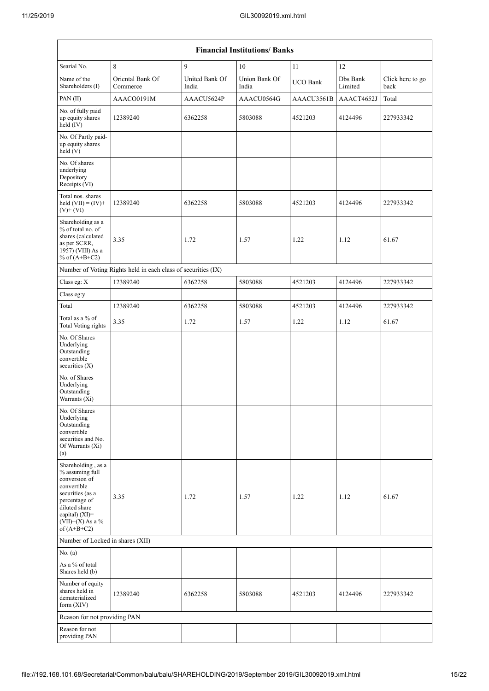| <b>Financial Institutions/Banks</b>                                                                                                                                                     |                                                               |                         |                        |            |                     |                          |  |
|-----------------------------------------------------------------------------------------------------------------------------------------------------------------------------------------|---------------------------------------------------------------|-------------------------|------------------------|------------|---------------------|--------------------------|--|
| Searial No.                                                                                                                                                                             | 8                                                             | 9                       | 10                     | 11         | 12                  |                          |  |
| Name of the<br>Shareholders (I)                                                                                                                                                         | Oriental Bank Of<br>Commerce                                  | United Bank Of<br>India | Union Bank Of<br>India | UCO Bank   | Dbs Bank<br>Limited | Click here to go<br>back |  |
| PAN(II)                                                                                                                                                                                 | AAACO0191M                                                    | AAACU5624P              | AAACU0564G             | AAACU3561B | AAACT4652J          | Total                    |  |
| No. of fully paid<br>up equity shares<br>held (IV)                                                                                                                                      | 12389240                                                      | 6362258                 | 5803088                | 4521203    | 4124496             | 227933342                |  |
| No. Of Partly paid-<br>up equity shares<br>held (V)                                                                                                                                     |                                                               |                         |                        |            |                     |                          |  |
| No. Of shares<br>underlying<br>Depository<br>Receipts (VI)                                                                                                                              |                                                               |                         |                        |            |                     |                          |  |
| Total nos. shares<br>held $(VII) = (IV) +$<br>$(V)$ + $(VI)$                                                                                                                            | 12389240                                                      | 6362258                 | 5803088                | 4521203    | 4124496             | 227933342                |  |
| Shareholding as a<br>% of total no. of<br>shares (calculated<br>as per SCRR,<br>1957) (VIII) As a<br>% of $(A+B+C2)$                                                                    | 3.35                                                          | 1.72                    | 1.57                   | 1.22       | 1.12                | 61.67                    |  |
|                                                                                                                                                                                         | Number of Voting Rights held in each class of securities (IX) |                         |                        |            |                     |                          |  |
| Class eg: X                                                                                                                                                                             | 12389240                                                      | 6362258                 | 5803088                | 4521203    | 4124496             | 227933342                |  |
| Class eg:y                                                                                                                                                                              |                                                               |                         |                        |            |                     |                          |  |
| Total                                                                                                                                                                                   | 12389240                                                      | 6362258                 | 5803088                | 4521203    | 4124496             | 227933342                |  |
| Total as a % of<br><b>Total Voting rights</b>                                                                                                                                           | 3.35                                                          | 1.72                    | 1.57                   | 1.22       | 1.12                | 61.67                    |  |
| No. Of Shares<br>Underlying<br>Outstanding<br>convertible<br>securities (X)                                                                                                             |                                                               |                         |                        |            |                     |                          |  |
| No. of Shares<br>Underlying<br>Outstanding<br>Warrants (Xi)                                                                                                                             |                                                               |                         |                        |            |                     |                          |  |
| No. Of Shares<br>Underlying<br>Outstanding<br>convertible<br>securities and No.<br>Of Warrants (Xi)<br>(a)                                                                              |                                                               |                         |                        |            |                     |                          |  |
| Shareholding, as a<br>% assuming full<br>conversion of<br>convertible<br>securities (as a<br>percentage of<br>diluted share<br>capital) $(XI)$ =<br>$(VII)+(X)$ As a %<br>of $(A+B+C2)$ | 3.35                                                          | 1.72                    | 1.57                   | 1.22       | 1.12                | 61.67                    |  |
| Number of Locked in shares (XII)                                                                                                                                                        |                                                               |                         |                        |            |                     |                          |  |
| No. (a)                                                                                                                                                                                 |                                                               |                         |                        |            |                     |                          |  |
| As a % of total<br>Shares held (b)                                                                                                                                                      |                                                               |                         |                        |            |                     |                          |  |
| Number of equity<br>shares held in<br>dematerialized<br>form $(XIV)$                                                                                                                    | 12389240                                                      | 6362258                 | 5803088                | 4521203    | 4124496             | 227933342                |  |
| Reason for not providing PAN                                                                                                                                                            |                                                               |                         |                        |            |                     |                          |  |
| Reason for not<br>providing PAN                                                                                                                                                         |                                                               |                         |                        |            |                     |                          |  |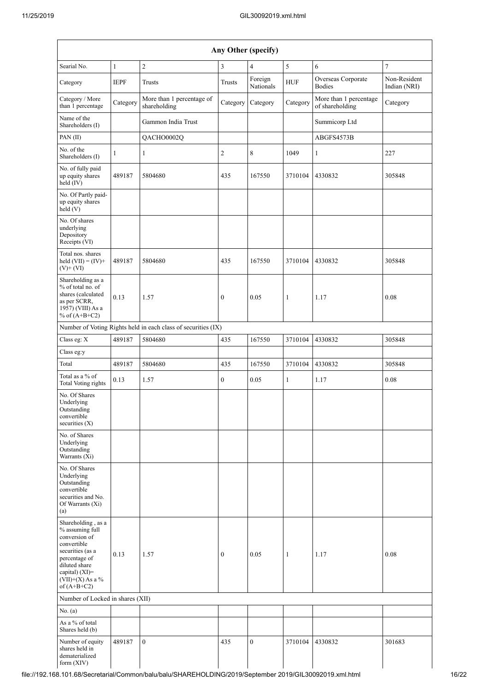|                                                                                                                                                                                      |              |                                                               |               | Any Other (specify)  |              |                                           |                              |
|--------------------------------------------------------------------------------------------------------------------------------------------------------------------------------------|--------------|---------------------------------------------------------------|---------------|----------------------|--------------|-------------------------------------------|------------------------------|
| Searial No.                                                                                                                                                                          | $\mathbf{1}$ | $\overline{c}$                                                | $\mathfrak z$ | $\overline{4}$       | 5            | 6                                         | $\boldsymbol{7}$             |
| Category                                                                                                                                                                             | <b>IEPF</b>  | Trusts                                                        | Trusts        | Foreign<br>Nationals | ${\rm HUF}$  | Overseas Corporate<br><b>Bodies</b>       | Non-Resident<br>Indian (NRI) |
| Category / More<br>than 1 percentage                                                                                                                                                 | Category     | More than 1 percentage of<br>shareholding                     | Category      | Category             | Category     | More than 1 percentage<br>of shareholding | Category                     |
| Name of the<br>Shareholders (I)                                                                                                                                                      |              | Gammon India Trust                                            |               |                      |              | Summicorp Ltd                             |                              |
| PAN(II)                                                                                                                                                                              |              | QACHO0002Q                                                    |               |                      |              | ABGFS4573B                                |                              |
| No. of the<br>Shareholders (I)                                                                                                                                                       | $\mathbf{1}$ | $\mathbf{1}$                                                  | $\sqrt{2}$    | 8                    | 1049         | $\mathbf{1}$                              | 227                          |
| No. of fully paid<br>up equity shares<br>held (IV)                                                                                                                                   | 489187       | 5804680                                                       | 435           | 167550               | 3710104      | 4330832                                   | 305848                       |
| No. Of Partly paid-<br>up equity shares<br>held (V)                                                                                                                                  |              |                                                               |               |                      |              |                                           |                              |
| No. Of shares<br>underlying<br>Depository<br>Receipts (VI)                                                                                                                           |              |                                                               |               |                      |              |                                           |                              |
| Total nos. shares<br>held $(VII) = (IV) +$<br>$(V)+(VI)$                                                                                                                             | 489187       | 5804680                                                       | 435           | 167550               | 3710104      | 4330832                                   | 305848                       |
| Shareholding as a<br>% of total no. of<br>shares (calculated<br>as per SCRR,<br>1957) (VIII) As a<br>% of $(A+B+C2)$                                                                 | 0.13         | 1.57                                                          | $\mathbf{0}$  | 0.05                 | $\mathbf{1}$ | 1.17                                      | 0.08                         |
|                                                                                                                                                                                      |              | Number of Voting Rights held in each class of securities (IX) |               |                      |              |                                           |                              |
| Class eg: X                                                                                                                                                                          | 489187       | 5804680                                                       | 435           | 167550               | 3710104      | 4330832                                   | 305848                       |
| Class eg:y                                                                                                                                                                           |              |                                                               |               |                      |              |                                           |                              |
| Total                                                                                                                                                                                | 489187       | 5804680                                                       | 435           | 167550               | 3710104      | 4330832                                   | 305848                       |
| Total as a % of<br><b>Total Voting rights</b>                                                                                                                                        | 0.13         | 1.57                                                          | $\mathbf{0}$  | 0.05                 | $\mathbf{1}$ | 1.17                                      | 0.08                         |
| No. Of Shares<br>Underlying<br>Outstanding<br>convertible<br>securities $(X)$                                                                                                        |              |                                                               |               |                      |              |                                           |                              |
| No. of Shares<br>Underlying<br>Outstanding<br>Warrants (Xi)                                                                                                                          |              |                                                               |               |                      |              |                                           |                              |
| No. Of Shares<br>Underlying<br>Outstanding<br>convertible<br>securities and No.<br>Of Warrants (Xi)<br>(a)                                                                           |              |                                                               |               |                      |              |                                           |                              |
| Shareholding, as a<br>% assuming full<br>conversion of<br>convertible<br>securities (as a<br>percentage of<br>diluted share<br>capital) (XI)=<br>$(VII)+(X)$ As a %<br>of $(A+B+C2)$ | 0.13         | 1.57                                                          | $\mathbf{0}$  | 0.05                 | $\mathbf{1}$ | 1.17                                      | 0.08                         |
| Number of Locked in shares (XII)                                                                                                                                                     |              |                                                               |               |                      |              |                                           |                              |
| No. $(a)$                                                                                                                                                                            |              |                                                               |               |                      |              |                                           |                              |
| As a % of total<br>Shares held (b)                                                                                                                                                   |              |                                                               |               |                      |              |                                           |                              |
| Number of equity<br>shares held in<br>dematerialized<br>form (XIV)                                                                                                                   | 489187       | $\mathbf{0}$                                                  | 435           | $\mathbf{0}$         | 3710104      | 4330832                                   | 301683                       |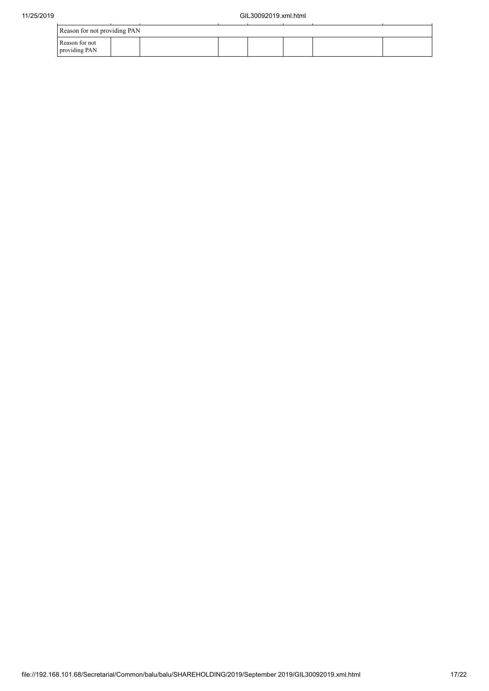| Reason for not providing PAN    |  |  |  |  |
|---------------------------------|--|--|--|--|
| Reason for not<br>providing PAN |  |  |  |  |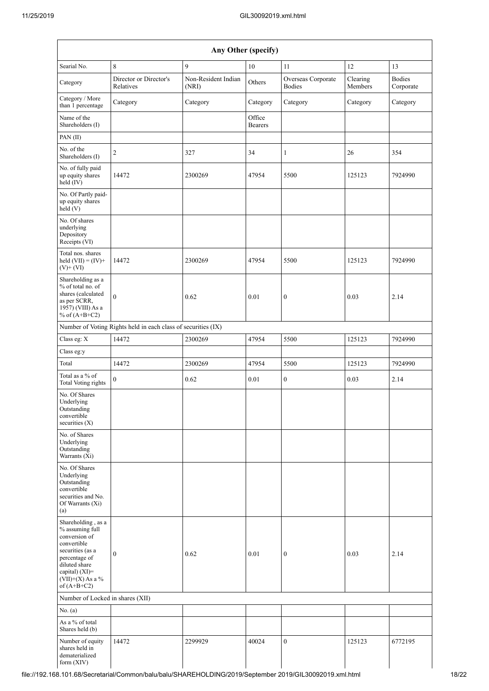| Any Other (specify)                                                                                                                                                                  |                                                               |                              |                          |                                     |                     |                            |
|--------------------------------------------------------------------------------------------------------------------------------------------------------------------------------------|---------------------------------------------------------------|------------------------------|--------------------------|-------------------------------------|---------------------|----------------------------|
| Searial No.                                                                                                                                                                          | $\,8\,$                                                       | 9                            | 10                       | 11                                  | 12                  | 13                         |
| Category                                                                                                                                                                             | Director or Director's<br>Relatives                           | Non-Resident Indian<br>(NRI) | Others                   | Overseas Corporate<br><b>Bodies</b> | Clearing<br>Members | <b>Bodies</b><br>Corporate |
| Category / More<br>than 1 percentage                                                                                                                                                 | Category                                                      | Category                     | Category                 | Category                            | Category            | Category                   |
| Name of the<br>Shareholders (I)                                                                                                                                                      |                                                               |                              | Office<br><b>Bearers</b> |                                     |                     |                            |
| PAN(II)                                                                                                                                                                              |                                                               |                              |                          |                                     |                     |                            |
| No. of the<br>Shareholders (I)                                                                                                                                                       | $\overline{c}$                                                | 327                          | 34                       | 1                                   | 26                  | 354                        |
| No. of fully paid<br>up equity shares<br>$\text{held}(\text{IV})$                                                                                                                    | 14472                                                         | 2300269                      | 47954                    | 5500                                | 125123              | 7924990                    |
| No. Of Partly paid-<br>up equity shares<br>held(V)                                                                                                                                   |                                                               |                              |                          |                                     |                     |                            |
| No. Of shares<br>underlying<br>Depository<br>Receipts (VI)                                                                                                                           |                                                               |                              |                          |                                     |                     |                            |
| Total nos. shares<br>held $(VII) = (IV) +$<br>$(V)+(VI)$                                                                                                                             | 14472                                                         | 2300269                      | 47954                    | 5500                                | 125123              | 7924990                    |
| Shareholding as a<br>% of total no. of<br>shares (calculated<br>as per SCRR,<br>1957) (VIII) As a<br>% of $(A+B+C2)$                                                                 | $\mathbf{0}$                                                  | 0.62                         | 0.01                     | $\boldsymbol{0}$                    | 0.03                | 2.14                       |
|                                                                                                                                                                                      | Number of Voting Rights held in each class of securities (IX) |                              |                          |                                     |                     |                            |
| Class eg: X                                                                                                                                                                          | 14472                                                         | 2300269                      | 47954                    | 5500                                | 125123              | 7924990                    |
| Class eg:y                                                                                                                                                                           |                                                               |                              |                          |                                     |                     |                            |
| Total                                                                                                                                                                                | 14472                                                         | 2300269                      | 47954                    | 5500                                | 125123              | 7924990                    |
| Total as a % of<br><b>Total Voting rights</b>                                                                                                                                        | $\mathbf{0}$                                                  | 0.62                         | 0.01                     | $\boldsymbol{0}$                    | 0.03                | 2.14                       |
| No. Of Shares<br>Underlying<br>Outstanding<br>convertible<br>securities $(X)$                                                                                                        |                                                               |                              |                          |                                     |                     |                            |
| No. of Shares<br>Underlying<br>Outstanding<br>Warrants (Xi)                                                                                                                          |                                                               |                              |                          |                                     |                     |                            |
| No. Of Shares<br>Underlying<br>Outstanding<br>convertible<br>securities and No.<br>Of Warrants (Xi)<br>(a)                                                                           |                                                               |                              |                          |                                     |                     |                            |
| Shareholding, as a<br>% assuming full<br>conversion of<br>convertible<br>securities (as a<br>percentage of<br>diluted share<br>capital) (XI)=<br>$(VII)+(X)$ As a %<br>of $(A+B+C2)$ | $\boldsymbol{0}$                                              | 0.62                         | 0.01                     | $\boldsymbol{0}$                    | 0.03                | 2.14                       |
| Number of Locked in shares (XII)                                                                                                                                                     |                                                               |                              |                          |                                     |                     |                            |
| No. $(a)$                                                                                                                                                                            |                                                               |                              |                          |                                     |                     |                            |
| As a % of total<br>Shares held (b)                                                                                                                                                   |                                                               |                              |                          |                                     |                     |                            |
| Number of equity<br>shares held in<br>dematerialized<br>form (XIV)                                                                                                                   | 14472                                                         | 2299929                      | 40024                    | $\mathbf{0}$                        | 125123              | 6772195                    |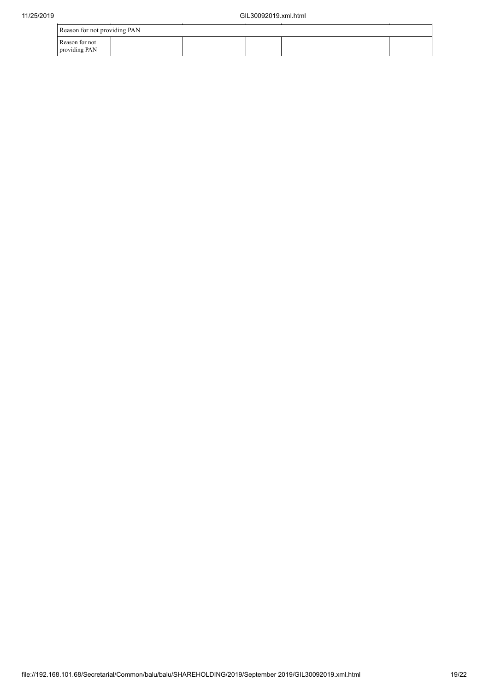| 11/25/2019 |                                 |  | GIL30092019.xml.html |  |  |
|------------|---------------------------------|--|----------------------|--|--|
|            | Reason for not providing PAN    |  |                      |  |  |
|            | Reason for not<br>providing PAN |  |                      |  |  |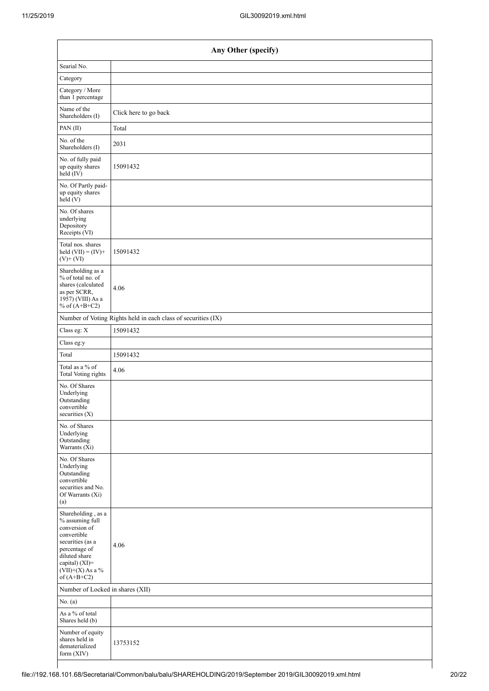|                                                                                                                                                                                      | Any Other (specify)                                           |  |  |  |  |  |  |
|--------------------------------------------------------------------------------------------------------------------------------------------------------------------------------------|---------------------------------------------------------------|--|--|--|--|--|--|
| Searial No.                                                                                                                                                                          |                                                               |  |  |  |  |  |  |
| Category                                                                                                                                                                             |                                                               |  |  |  |  |  |  |
| Category / More<br>than 1 percentage                                                                                                                                                 |                                                               |  |  |  |  |  |  |
| Name of the<br>Shareholders (I)                                                                                                                                                      | Click here to go back                                         |  |  |  |  |  |  |
| PAN(II)                                                                                                                                                                              | Total                                                         |  |  |  |  |  |  |
| No. of the<br>Shareholders (I)                                                                                                                                                       | 2031                                                          |  |  |  |  |  |  |
| No. of fully paid<br>up equity shares<br>held (IV)                                                                                                                                   | 15091432                                                      |  |  |  |  |  |  |
| No. Of Partly paid-<br>up equity shares<br>held (V)                                                                                                                                  |                                                               |  |  |  |  |  |  |
| No. Of shares<br>underlying<br>Depository<br>Receipts (VI)                                                                                                                           |                                                               |  |  |  |  |  |  |
| Total nos. shares<br>held $(VII) = (IV) +$<br>$(V)$ + $(VI)$                                                                                                                         | 15091432                                                      |  |  |  |  |  |  |
| Shareholding as a<br>% of total no. of<br>shares (calculated<br>as per SCRR,<br>1957) (VIII) As a<br>% of $(A+B+C2)$                                                                 | 4.06                                                          |  |  |  |  |  |  |
|                                                                                                                                                                                      | Number of Voting Rights held in each class of securities (IX) |  |  |  |  |  |  |
| Class eg: X                                                                                                                                                                          | 15091432                                                      |  |  |  |  |  |  |
| Class eg:y                                                                                                                                                                           |                                                               |  |  |  |  |  |  |
| Total                                                                                                                                                                                | 15091432                                                      |  |  |  |  |  |  |
| Total as a % of<br><b>Total Voting rights</b>                                                                                                                                        | 4.06                                                          |  |  |  |  |  |  |
| No. Of Shares<br>Underlying<br>Outstanding<br>convertible<br>securities (X)                                                                                                          |                                                               |  |  |  |  |  |  |
| No. of Shares<br>Underlying<br>Outstanding<br>Warrants (Xi)                                                                                                                          |                                                               |  |  |  |  |  |  |
| No. Of Shares<br>Underlying<br>Outstanding<br>convertible<br>securities and No.<br>Of Warrants (Xi)<br>(a)                                                                           |                                                               |  |  |  |  |  |  |
| Shareholding, as a<br>% assuming full<br>conversion of<br>convertible<br>securities (as a<br>percentage of<br>diluted share<br>capital) (XI)=<br>$(VII)+(X)$ As a %<br>of $(A+B+C2)$ | 4.06                                                          |  |  |  |  |  |  |
| Number of Locked in shares (XII)                                                                                                                                                     |                                                               |  |  |  |  |  |  |
| No. $(a)$                                                                                                                                                                            |                                                               |  |  |  |  |  |  |
| As a % of total<br>Shares held (b)                                                                                                                                                   |                                                               |  |  |  |  |  |  |
| Number of equity<br>shares held in<br>dematerialized<br>form (XIV)                                                                                                                   | 13753152                                                      |  |  |  |  |  |  |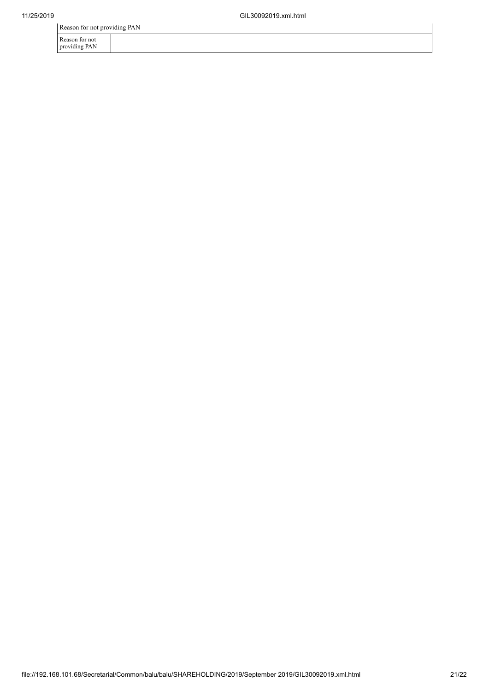Reason for not providing PAN

Reason for not

providing PAN